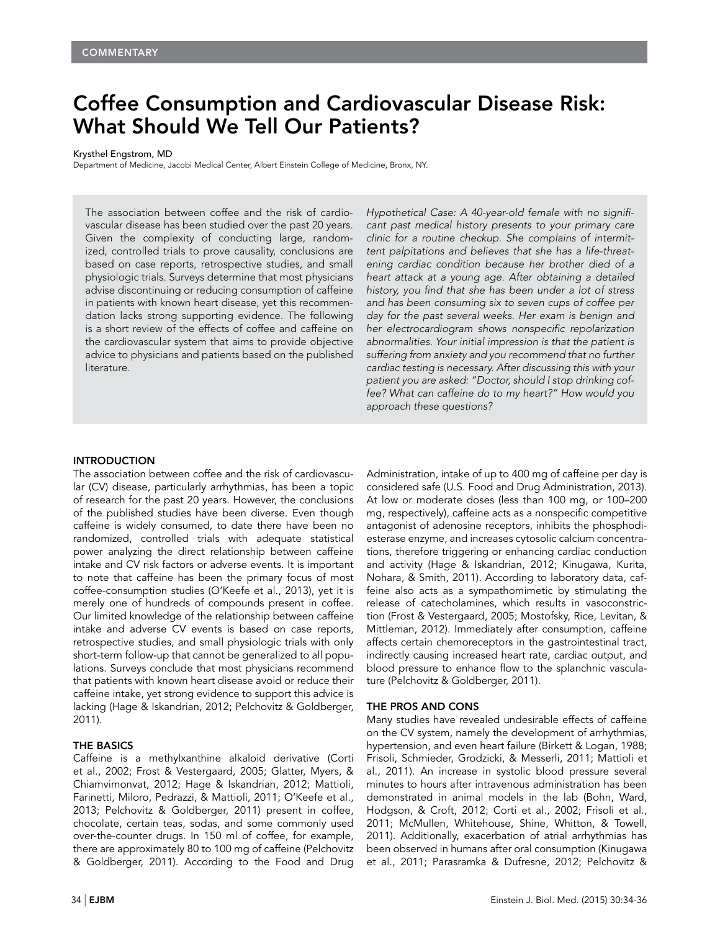# Coffee Consumption and Cardiovascular Disease Risk: What Should We Tell Our Patients?

Krysthel Engstrom, MD

Department of Medicine, Jacobi Medical Center, Albert Einstein College of Medicine, Bronx, NY.

The association between coffee and the risk of cardiovascular disease has been studied over the past 20 years. Given the complexity of conducting large, randomized, controlled trials to prove causality, conclusions are based on case reports, retrospective studies, and small physiologic trials. Surveys determine that most physicians advise discontinuing or reducing consumption of caffeine in patients with known heart disease, yet this recommendation lacks strong supporting evidence. The following is a short review of the effects of coffee and caffeine on the cardiovascular system that aims to provide objective advice to physicians and patients based on the published literature.

Hypothetical Case: A 40-year-old female with no significant past medical history presents to your primary care clinic for a routine checkup. She complains of intermittent palpitations and believes that she has a life-threatening cardiac condition because her brother died of a heart attack at a young age. After obtaining a detailed history, you find that she has been under a lot of stress and has been consuming six to seven cups of coffee per day for the past several weeks. Her exam is benign and her electrocardiogram shows nonspecific repolarization abnormalities. Your initial impression is that the patient is suffering from anxiety and you recommend that no further cardiac testing is necessary. After discussing this with your patient you are asked: "Doctor, should I stop drinking coffee? What can caffeine do to my heart?" How would you approach these questions?

## **INTRODUCTION**

The association between coffee and the risk of cardiovascular (CV) disease, particularly arrhythmias, has been a topic of research for the past 20 years. However, the conclusions of the published studies have been diverse. Even though caffeine is widely consumed, to date there have been no randomized, controlled trials with adequate statistical power analyzing the direct relationship between caffeine intake and CV risk factors or adverse events. It is important to note that caffeine has been the primary focus of most coffee-consumption studies (O'Keefe et al., 2013), yet it is merely one of hundreds of compounds present in coffee. Our limited knowledge of the relationship between caffeine intake and adverse CV events is based on case reports, retrospective studies, and small physiologic trials with only short-term follow-up that cannot be generalized to all populations. Surveys conclude that most physicians recommend that patients with known heart disease avoid or reduce their caffeine intake, yet strong evidence to support this advice is lacking (Hage & Iskandrian, 2012; Pelchovitz & Goldberger, 2011).

#### THE BASICS

Caffeine is a methylxanthine alkaloid derivative (Corti et al., 2002; Frost & Vestergaard, 2005; Glatter, Myers, & Chiamvimonvat, 2012; Hage & Iskandrian, 2012; Mattioli, Farinetti, Miloro, Pedrazzi, & Mattioli, 2011; O'Keefe et al., 2013; Pelchovitz & Goldberger, 2011) present in coffee, chocolate, certain teas, sodas, and some commonly used over-the-counter drugs. In 150 ml of coffee, for example, there are approximately 80 to 100 mg of caffeine (Pelchovitz & Goldberger, 2011). According to the Food and Drug

considered safe (U.S. Food and Drug Administration, 2013). At low or moderate doses (less than 100 mg, or 100–200 mg, respectively), caffeine acts as a nonspecific competitive antagonist of adenosine receptors, inhibits the phosphodiesterase enzyme, and increases cytosolic calcium concentrations, therefore triggering or enhancing cardiac conduction and activity (Hage & Iskandrian, 2012; Kinugawa, Kurita, Nohara, & Smith, 2011). According to laboratory data, caffeine also acts as a sympathomimetic by stimulating the release of catecholamines, which results in vasoconstriction (Frost & Vestergaard, 2005; Mostofsky, Rice, Levitan, & Mittleman, 2012). Immediately after consumption, caffeine affects certain chemoreceptors in the gastrointestinal tract, indirectly causing increased heart rate, cardiac output, and blood pressure to enhance flow to the splanchnic vasculature (Pelchovitz & Goldberger, 2011).

Administration, intake of up to 400 mg of caffeine per day is

### THE PROS AND CONS

Many studies have revealed undesirable effects of caffeine on the CV system, namely the development of arrhythmias, hypertension, and even heart failure (Birkett & Logan, 1988; Frisoli, Schmieder, Grodzicki, & Messerli, 2011; Mattioli et al., 2011). An increase in systolic blood pressure several minutes to hours after intravenous administration has been demonstrated in animal models in the lab (Bohn, Ward, Hodgson, & Croft, 2012; Corti et al., 2002; Frisoli et al., 2011; McMullen, Whitehouse, Shine, Whitton, & Towell, 2011). Additionally, exacerbation of atrial arrhythmias has been observed in humans after oral consumption (Kinugawa et al., 2011; Parasramka & Dufresne, 2012; Pelchovitz &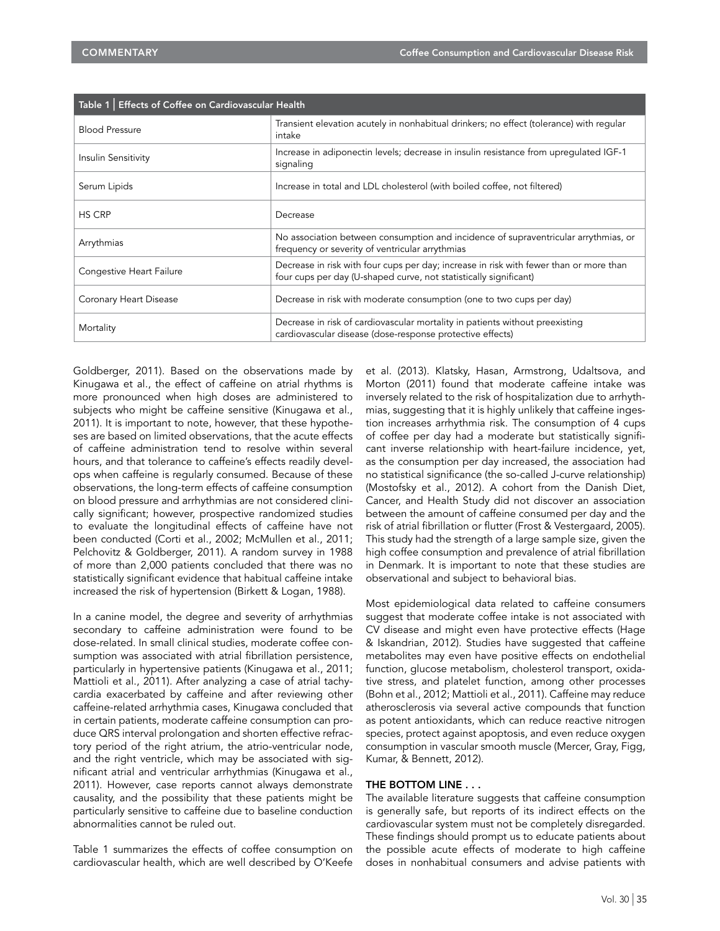| Table 1   Effects of Coffee on Cardiovascular Health |                                                                                                                                                             |
|------------------------------------------------------|-------------------------------------------------------------------------------------------------------------------------------------------------------------|
| <b>Blood Pressure</b>                                | Transient elevation acutely in nonhabitual drinkers; no effect (tolerance) with regular<br>intake                                                           |
| Insulin Sensitivity                                  | Increase in adiponectin levels; decrease in insulin resistance from uprequlated IGF-1<br>signaling                                                          |
| Serum Lipids                                         | Increase in total and LDL cholesterol (with boiled coffee, not filtered)                                                                                    |
| <b>HS CRP</b>                                        | Decrease                                                                                                                                                    |
| Arrythmias                                           | No association between consumption and incidence of supraventricular arrythmias, or<br>frequency or severity of ventricular arrythmias                      |
| Congestive Heart Failure                             | Decrease in risk with four cups per day; increase in risk with fewer than or more than<br>four cups per day (U-shaped curve, not statistically significant) |
| Coronary Heart Disease                               | Decrease in risk with moderate consumption (one to two cups per day)                                                                                        |
| Mortality                                            | Decrease in risk of cardiovascular mortality in patients without preexisting<br>cardiovascular disease (dose-response protective effects)                   |

Goldberger, 2011). Based on the observations made by Kinugawa et al., the effect of caffeine on atrial rhythms is more pronounced when high doses are administered to subjects who might be caffeine sensitive (Kinugawa et al., 2011). It is important to note, however, that these hypotheses are based on limited observations, that the acute effects of caffeine administration tend to resolve within several hours, and that tolerance to caffeine's effects readily develops when caffeine is regularly consumed. Because of these observations, the long-term effects of caffeine consumption on blood pressure and arrhythmias are not considered clinically significant; however, prospective randomized studies to evaluate the longitudinal effects of caffeine have not been conducted (Corti et al., 2002; McMullen et al., 2011; Pelchovitz & Goldberger, 2011). A random survey in 1988 of more than 2,000 patients concluded that there was no statistically significant evidence that habitual caffeine intake increased the risk of hypertension (Birkett & Logan, 1988).

In a canine model, the degree and severity of arrhythmias secondary to caffeine administration were found to be dose-related. In small clinical studies, moderate coffee consumption was associated with atrial fibrillation persistence, particularly in hypertensive patients (Kinugawa et al., 2011; Mattioli et al., 2011). After analyzing a case of atrial tachycardia exacerbated by caffeine and after reviewing other caffeine-related arrhythmia cases, Kinugawa concluded that in certain patients, moderate caffeine consumption can produce QRS interval prolongation and shorten effective refractory period of the right atrium, the atrio-ventricular node, and the right ventricle, which may be associated with significant atrial and ventricular arrhythmias (Kinugawa et al., 2011). However, case reports cannot always demonstrate causality, and the possibility that these patients might be particularly sensitive to caffeine due to baseline conduction abnormalities cannot be ruled out.

Table 1 summarizes the effects of coffee consumption on cardiovascular health, which are well described by O'Keefe

et al. (2013). Klatsky, Hasan, Armstrong, Udaltsova, and Morton (2011) found that moderate caffeine intake was inversely related to the risk of hospitalization due to arrhythmias, suggesting that it is highly unlikely that caffeine ingestion increases arrhythmia risk. The consumption of 4 cups of coffee per day had a moderate but statistically significant inverse relationship with heart-failure incidence, yet, as the consumption per day increased, the association had no statistical significance (the so-called J-curve relationship) (Mostofsky et al., 2012). A cohort from the Danish Diet, Cancer, and Health Study did not discover an association between the amount of caffeine consumed per day and the risk of atrial fibrillation or flutter (Frost & Vestergaard, 2005). This study had the strength of a large sample size, given the high coffee consumption and prevalence of atrial fibrillation in Denmark. It is important to note that these studies are observational and subject to behavioral bias.

Most epidemiological data related to caffeine consumers suggest that moderate coffee intake is not associated with CV disease and might even have protective effects (Hage & Iskandrian, 2012). Studies have suggested that caffeine metabolites may even have positive effects on endothelial function, glucose metabolism, cholesterol transport, oxidative stress, and platelet function, among other processes (Bohn et al., 2012; Mattioli et al., 2011). Caffeine may reduce atherosclerosis via several active compounds that function as potent antioxidants, which can reduce reactive nitrogen species, protect against apoptosis, and even reduce oxygen consumption in vascular smooth muscle (Mercer, Gray, Figg, Kumar, & Bennett, 2012).

#### THE BOTTOM LINE . . .

The available literature suggests that caffeine consumption is generally safe, but reports of its indirect effects on the cardiovascular system must not be completely disregarded. These findings should prompt us to educate patients about the possible acute effects of moderate to high caffeine doses in nonhabitual consumers and advise patients with